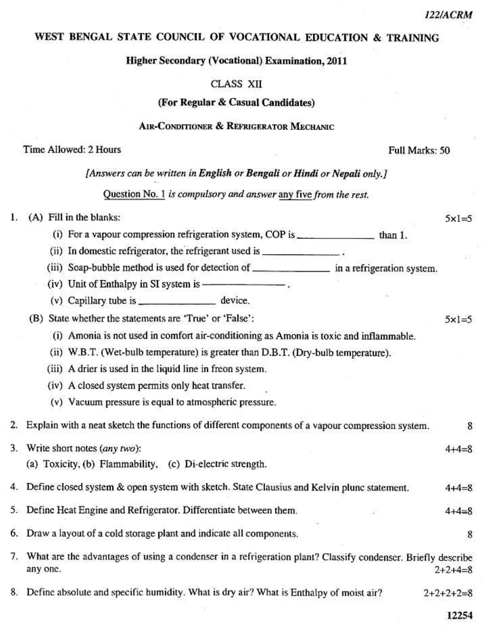$5x1=5$ 

 $5x1=5$ 

8

8

# WEST BENGAL STATE COUNCIL OF VOCATIONAL EDUCATION & TRAINING

**Higher Secondary (Vocational) Examination, 2011** 

## **CLASS XII**

## (For Regular & Casual Candidates)

### **AIR-CONDITIONER & REFRIGERATOR MECHANIC**

## Time Allowed: 2 Hours

#### Full Marks: 50

### [Answers can be written in English or Bengali or Hindi or Nepali only.]

# Question No. 1 is compulsory and answer any five from the rest.

#### (A) Fill in the blanks: 1.

- (i) For a vapour compression refrigeration system, COP is \_\_\_\_\_\_\_\_\_\_\_\_\_\_\_\_\_\_\_\_\_\_\_ than 1.
- (ii) In domestic refrigerator, the refrigerant used is \_\_\_\_\_\_\_\_\_\_\_\_\_\_\_\_.
- 
- 
- (v) Capillary tube is \_\_\_\_\_\_\_\_\_\_\_\_\_\_\_\_\_ device.

# (B) State whether the statements are 'True' or 'False':

- (i) Amonia is not used in comfort air-conditioning as Amonia is toxic and inflammable.
- (ii) W.B.T. (Wet-bulb temperature) is greater than D.B.T. (Dry-bulb temperature).
- (iii) A drier is used in the liquid line in freon system.
- (iv) A closed system permits only heat transfer.
- (v) Vacuum pressure is equal to atmospheric pressure.

2. Explain with a neat sketch the functions of different components of a vapour compression system.

- 3. Write short notes (any two):  $4 + 4 = 8$ (a) Toxicity, (b) Flammability, (c) Di-electric strength.
	- 4. Define closed system & open system with sketch. State Clausius and Kelvin plunc statement.  $4 + 4 = 8$
- 5. Define Heat Engine and Refrigerator. Differentiate between them.  $4 + 4 = 8$
- 6. Draw a layout of a cold storage plant and indicate all components.
- 7. What are the advantages of using a condenser in a refrigeration plant? Classify condenser. Briefly describe any one.  $2+2+4=8$
- 8. Define absolute and specific humidity. What is dry air? What is Enthalpy of moist air?  $2+2+2+2=8$

12254